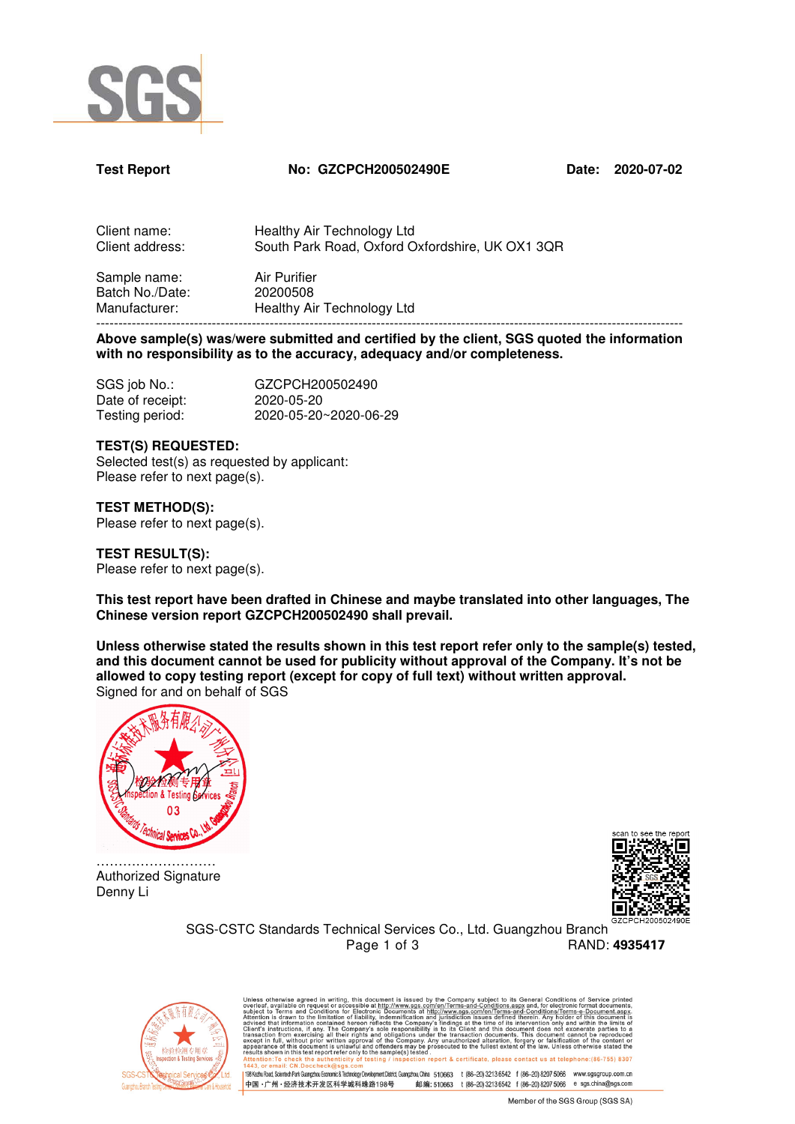

#### **Test Report No: GZCPCH200502490E Date: 2020-07-02**

| Client name:    | Healthy Air Technology Ltd                      |
|-----------------|-------------------------------------------------|
| Client address: | South Park Road, Oxford Oxfordshire, UK OX1 3QR |
| Sample name:    | Air Durifior                                    |

Sample name: Air Purifier Batch No./Date: 20200508<br>Manufacturer: Healthy Ai Healthy Air Technology Ltd ------------------------------------------------------------------------------------------------------------------------------------

**Above sample(s) was/were submitted and certified by the client, SGS quoted the information with no responsibility as to the accuracy, adequacy and/or completeness.** 

| SGS job No.:     | GZCPCH200502490       |
|------------------|-----------------------|
| Date of receipt: | 2020-05-20            |
| Testing period:  | 2020-05-20~2020-06-29 |

#### **TEST(S) REQUESTED:**

Selected test(s) as requested by applicant: Please refer to next page(s).

**TEST METHOD(S):** 

Please refer to next page(s).

**TEST RESULT(S):** Please refer to next page(s).

**This test report have been drafted in Chinese and maybe translated into other languages, The Chinese version report GZCPCH200502490 shall prevail.** 

**Unless otherwise stated the results shown in this test report refer only to the sample(s) tested, and this document cannot be used for publicity without approval of the Company. It's not be allowed to copy testing report (except for copy of full text) without written approval.**  Signed for and on behalf of SGS



……………………… Authorized Signature Denny Li



SGS-CSTC Standards Technical Services Co., Ltd. Guangzhou Branch Page 1 of 3 RAND: **4935417** 



otherwise agreed in writing, this document is issued by the Company subject to its General Conditions of Service printed<br>is available on request or accessible at http://www.sgs.com/en/Terms-and-Conditions.aspx and. for ele 198 Kezhu Road, Scientech Park Guangzhou Economic & Technology Development District, Guangzhou, China 510663 t (86-20) 3213 6542 f (86-20) 8207 5066 www.sgsgroup.com.cn

# # # # 510663 t (86-20) 3213 6542 f (86-20) 8207 5066 e sgs.china@sgs.com 中国·广州·经济技术开发区科学城科珠路198号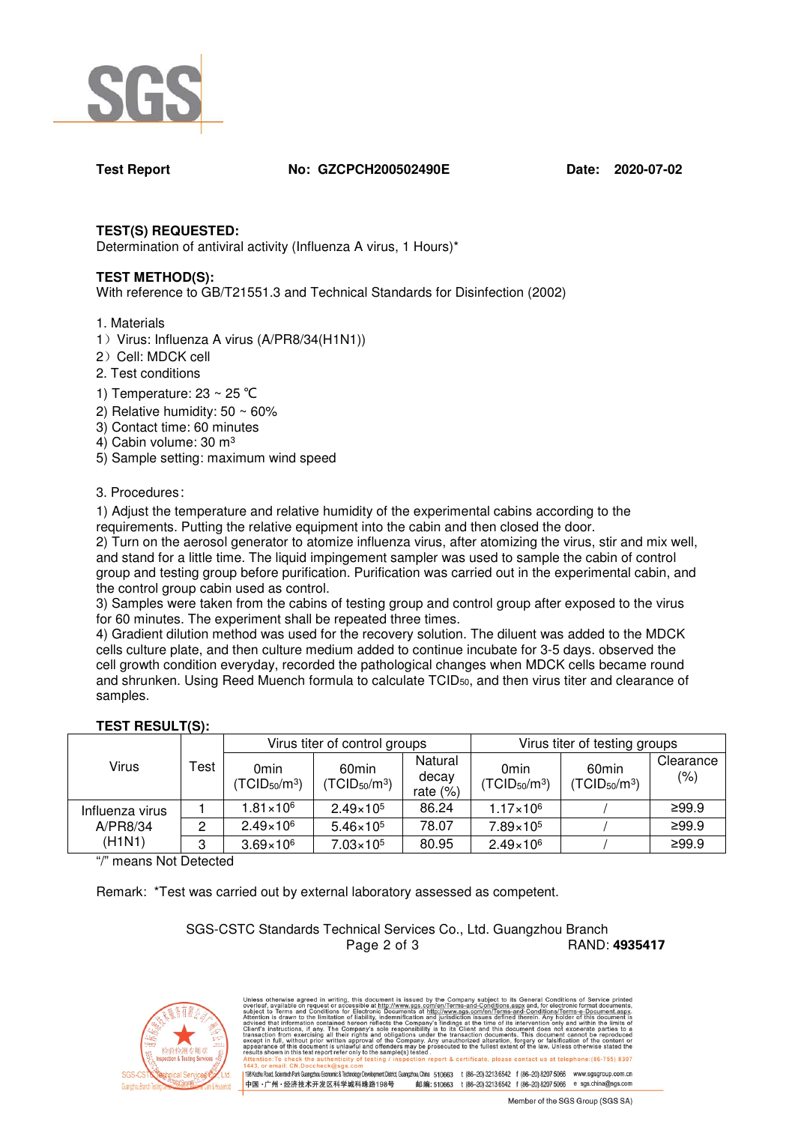

**Test Report No: GZCPCH200502490E Date: 2020-07-02**

# **TEST(S) REQUESTED:**

Determination of antiviral activity (Influenza A virus, 1 Hours)\*

# **TEST METHOD(S):**

With reference to GB/T21551.3 and Technical Standards for Disinfection (2002)

- 1. Materials
- 1) Virus: Influenza A virus (A/PR8/34(H1N1))
- 2) Cell: MDCK cell
- 2. Test conditions
- 1) Temperature: 23 ~ 25 ℃
- 2) Relative humidity:  $50 \sim 60\%$
- 3) Contact time: 60 minutes
- 4) Cabin volume: 30 m<sup>3</sup>
- 5) Sample setting: maximum wind speed

## 3. Procedures:

1) Adjust the temperature and relative humidity of the experimental cabins according to the requirements. Putting the relative equipment into the cabin and then closed the door.

2) Turn on the aerosol generator to atomize influenza virus, after atomizing the virus, stir and mix well, and stand for a little time. The liquid impingement sampler was used to sample the cabin of control group and testing group before purification. Purification was carried out in the experimental cabin, and the control group cabin used as control.

3) Samples were taken from the cabins of testing group and control group after exposed to the virus for 60 minutes. The experiment shall be repeated three times.

4) Gradient dilution method was used for the recovery solution. The diluent was added to the MDCK cells culture plate, and then culture medium added to continue incubate for 3-5 days. observed the cell growth condition everyday, recorded the pathological changes when MDCK cells became round and shrunken. Using Reed Muench formula to calculate TCID50, and then virus titer and clearance of samples.

# **TEST RESULT(S):**

| Virus                                 | Test | Virus titer of control groups         |                                        |                                 | Virus titer of testing groups         |                                        |                      |
|---------------------------------------|------|---------------------------------------|----------------------------------------|---------------------------------|---------------------------------------|----------------------------------------|----------------------|
|                                       |      | 0 <sub>min</sub><br>$(TCID_{50}/m^3)$ | 60 <sub>min</sub><br>$(TCID_{50}/m^3)$ | Natural<br>decay<br>rate $(\%)$ | 0 <sub>min</sub><br>$(TCID_{50}/m^3)$ | 60 <sub>min</sub><br>$(TCID_{50}/m^3)$ | Clearance<br>$(\% )$ |
| Influenza virus<br>A/PR8/34<br>(H1N1) |      | $1.81 \times 10^6$                    | $2.49 \times 10^{5}$                   | 86.24                           | $1.17 \times 10^6$                    |                                        | ≥99.9                |
|                                       |      | $2.49 \times 10^{6}$                  | $5.46 \times 10^{5}$                   | 78.07                           | $7.89 \times 10^{5}$                  |                                        | ≥99.9                |
|                                       |      | $3.69 \times 10^{6}$                  | $7.03 \times 10^5$                     | 80.95                           | $2.49 \times 10^{6}$                  |                                        | ≥99.9                |

"/" means Not Detected

Remark: \*Test was carried out by external laboratory assessed as competent.

### SGS-CSTC Standards Technical Services Co., Ltd. Guangzhou Branch Page 2 of 3 RAND: **4935417**

otherwise agreed in writing, this document is issued by the Company subject to its General Conditions of Service printed<br>to suglishe of request or accessible antitro/itswaysage.Complexity is the company subject to the meth report & certificate, please contact us at telephone: (86-755) 8307 198 Kezhu Road, Scientech Park Guangzhou Economic & Technology Development District, Guangzhou, China 510663 t (86-20) 3213 6542 f (86-20) 8207 5066 www.sgsgroup.com.cn 邮编: 510663 t (86-20) 3213 6542 f (86-20) 8207 5066 e sgs.china@sgs.com 中国·广州·经济技术开发区科学城科珠路198号